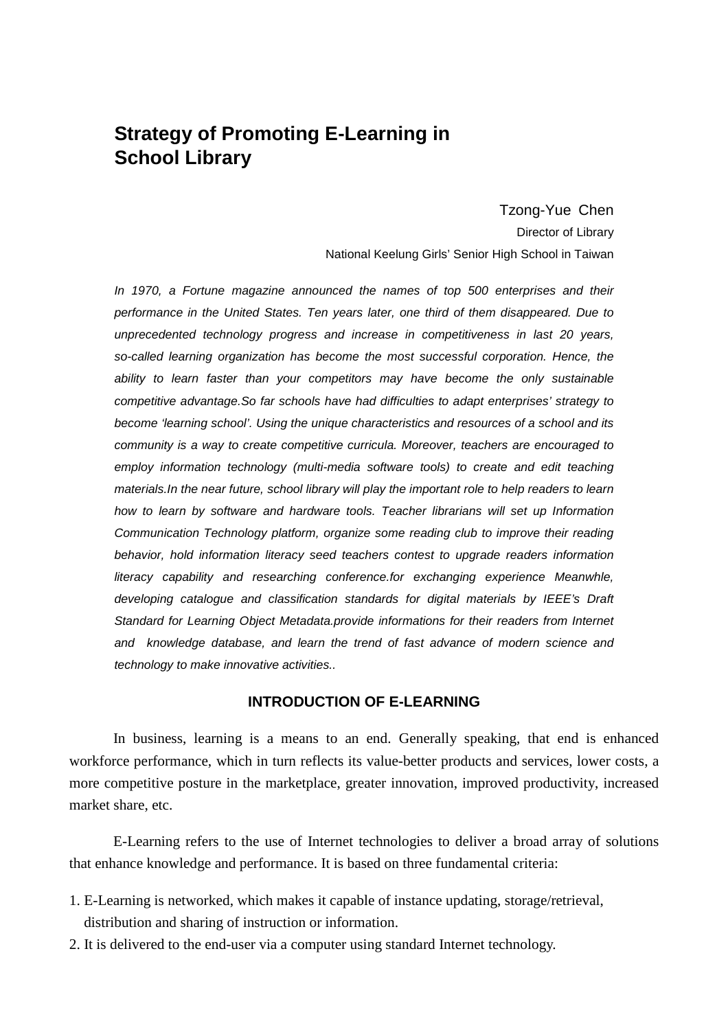# **Strategy of Promoting E-Learning in School Library**

Tzong-Yue Chen Director of Library National Keelung Girls' Senior High School in Taiwan

In 1970, a Fortune magazine announced the names of top 500 enterprises and their performance in the United States. Ten years later, one third of them disappeared. Due to unprecedented technology progress and increase in competitiveness in last 20 years, so-called learning organization has become the most successful corporation. Hence, the ability to learn faster than your competitors may have become the only sustainable competitive advantage.So far schools have had difficulties to adapt enterprises' strategy to become 'learning school'. Using the unique characteristics and resources of a school and its community is a way to create competitive curricula. Moreover, teachers are encouraged to employ information technology (multi-media software tools) to create and edit teaching materials.In the near future, school library will play the important role to help readers to learn how to learn by software and hardware tools. Teacher librarians will set up Information Communication Technology platform, organize some reading club to improve their reading behavior, hold information literacy seed teachers contest to upgrade readers information literacy capability and researching conference.for exchanging experience Meanwhle, developing catalogue and classification standards for digital materials by IEEE's Draft Standard for Learning Object Metadata.provide informations for their readers from Internet and knowledge database, and learn the trend of fast advance of modern science and technology to make innovative activities..

#### **INTRODUCTION OF E-LEARNING**

In business, learning is a means to an end. Generally speaking, that end is enhanced workforce performance, which in turn reflects its value-better products and services, lower costs, a more competitive posture in the marketplace, greater innovation, improved productivity, increased market share, etc.

E-Learning refers to the use of Internet technologies to deliver a broad array of solutions that enhance knowledge and performance. It is based on three fundamental criteria:

- 1. E-Learning is networked, which makes it capable of instance updating, storage/retrieval, distribution and sharing of instruction or information.
- 2. It is delivered to the end-user via a computer using standard Internet technology.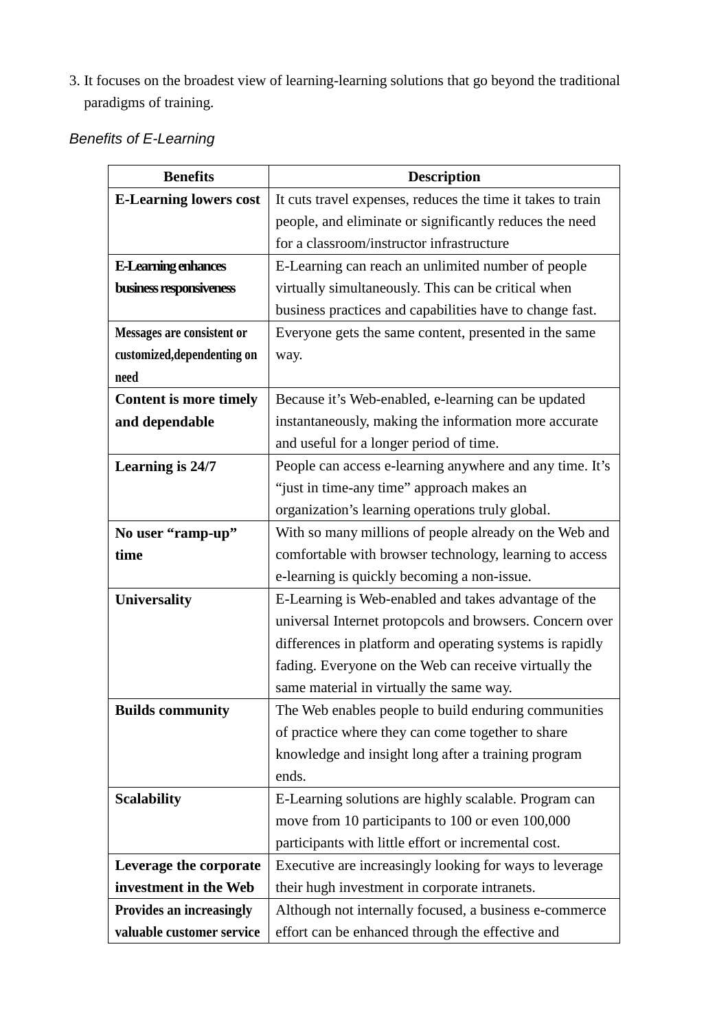3. It focuses on the broadest view of learning-learning solutions that go beyond the traditional paradigms of training.

| <b>Benefits of E-Learning</b> |
|-------------------------------|
|-------------------------------|

| <b>Benefits</b>               | <b>Description</b>                                          |  |  |  |
|-------------------------------|-------------------------------------------------------------|--|--|--|
| <b>E-Learning lowers cost</b> | It cuts travel expenses, reduces the time it takes to train |  |  |  |
|                               | people, and eliminate or significantly reduces the need     |  |  |  |
|                               | for a classroom/instructor infrastructure                   |  |  |  |
| E-Learning enhances           | E-Learning can reach an unlimited number of people          |  |  |  |
| business responsiveness       | virtually simultaneously. This can be critical when         |  |  |  |
|                               | business practices and capabilities have to change fast.    |  |  |  |
| Messages are consistent or    | Everyone gets the same content, presented in the same       |  |  |  |
| customized, dependenting on   | way.                                                        |  |  |  |
| need                          |                                                             |  |  |  |
| <b>Content is more timely</b> | Because it's Web-enabled, e-learning can be updated         |  |  |  |
| and dependable                | instantaneously, making the information more accurate       |  |  |  |
|                               | and useful for a longer period of time.                     |  |  |  |
| Learning is 24/7              | People can access e-learning anywhere and any time. It's    |  |  |  |
|                               | "just in time-any time" approach makes an                   |  |  |  |
|                               | organization's learning operations truly global.            |  |  |  |
| No user "ramp-up"             | With so many millions of people already on the Web and      |  |  |  |
| time                          | comfortable with browser technology, learning to access     |  |  |  |
|                               | e-learning is quickly becoming a non-issue.                 |  |  |  |
| <b>Universality</b>           | E-Learning is Web-enabled and takes advantage of the        |  |  |  |
|                               | universal Internet protopcols and browsers. Concern over    |  |  |  |
|                               | differences in platform and operating systems is rapidly    |  |  |  |
|                               | fading. Everyone on the Web can receive virtually the       |  |  |  |
|                               | same material in virtually the same way.                    |  |  |  |
| <b>Builds community</b>       | The Web enables people to build enduring communities        |  |  |  |
|                               | of practice where they can come together to share           |  |  |  |
|                               | knowledge and insight long after a training program         |  |  |  |
|                               | ends.                                                       |  |  |  |
| <b>Scalability</b>            | E-Learning solutions are highly scalable. Program can       |  |  |  |
|                               | move from 10 participants to 100 or even 100,000            |  |  |  |
|                               | participants with little effort or incremental cost.        |  |  |  |
| Leverage the corporate        | Executive are increasingly looking for ways to leverage     |  |  |  |
| investment in the Web         | their hugh investment in corporate intranets.               |  |  |  |
| Provides an increasingly      | Although not internally focused, a business e-commerce      |  |  |  |
| valuable customer service     | effort can be enhanced through the effective and            |  |  |  |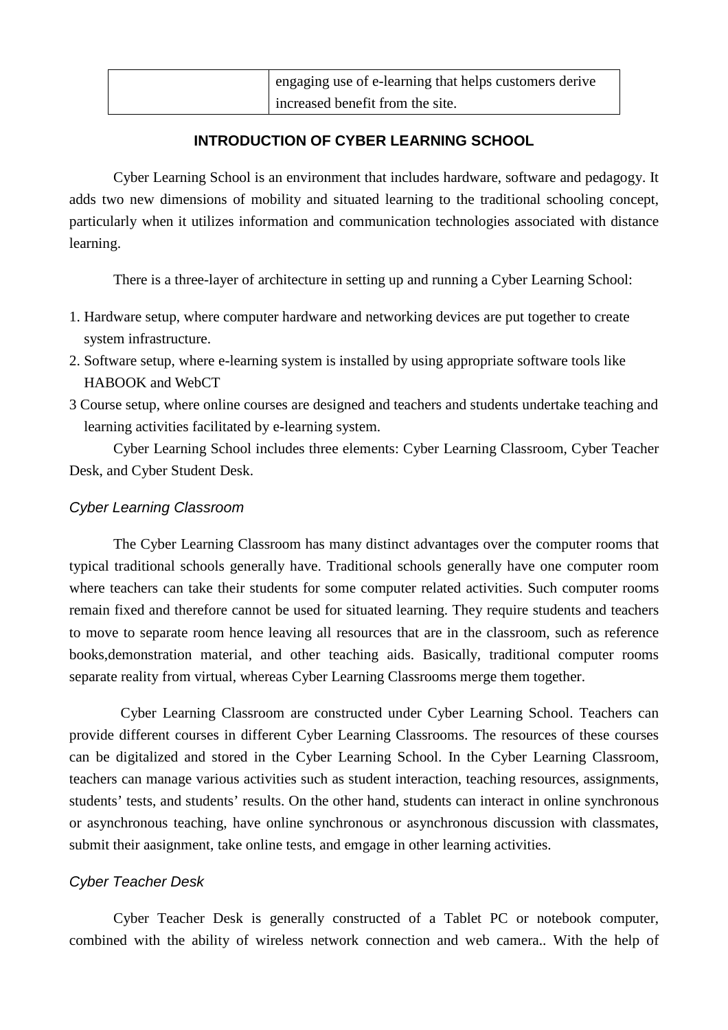| engaging use of e-learning that helps customers derive |
|--------------------------------------------------------|
| increased benefit from the site.                       |

### **INTRODUCTION OF CYBER LEARNING SCHOOL**

Cyber Learning School is an environment that includes hardware, software and pedagogy. It adds two new dimensions of mobility and situated learning to the traditional schooling concept, particularly when it utilizes information and communication technologies associated with distance learning.

There is a three-layer of architecture in setting up and running a Cyber Learning School:

- 1. Hardware setup, where computer hardware and networking devices are put together to create system infrastructure.
- 2. Software setup, where e-learning system is installed by using appropriate software tools like HABOOK and WebCT
- 3 Course setup, where online courses are designed and teachers and students undertake teaching and learning activities facilitated by e-learning system.

Cyber Learning School includes three elements: Cyber Learning Classroom, Cyber Teacher Desk, and Cyber Student Desk.

### Cyber Learning Classroom

The Cyber Learning Classroom has many distinct advantages over the computer rooms that typical traditional schools generally have. Traditional schools generally have one computer room where teachers can take their students for some computer related activities. Such computer rooms remain fixed and therefore cannot be used for situated learning. They require students and teachers to move to separate room hence leaving all resources that are in the classroom, such as reference books,demonstration material, and other teaching aids. Basically, traditional computer rooms separate reality from virtual, whereas Cyber Learning Classrooms merge them together.

 Cyber Learning Classroom are constructed under Cyber Learning School. Teachers can provide different courses in different Cyber Learning Classrooms. The resources of these courses can be digitalized and stored in the Cyber Learning School. In the Cyber Learning Classroom, teachers can manage various activities such as student interaction, teaching resources, assignments, students' tests, and students' results. On the other hand, students can interact in online synchronous or asynchronous teaching, have online synchronous or asynchronous discussion with classmates, submit their aasignment, take online tests, and emgage in other learning activities.

#### Cyber Teacher Desk

Cyber Teacher Desk is generally constructed of a Tablet PC or notebook computer, combined with the ability of wireless network connection and web camera.. With the help of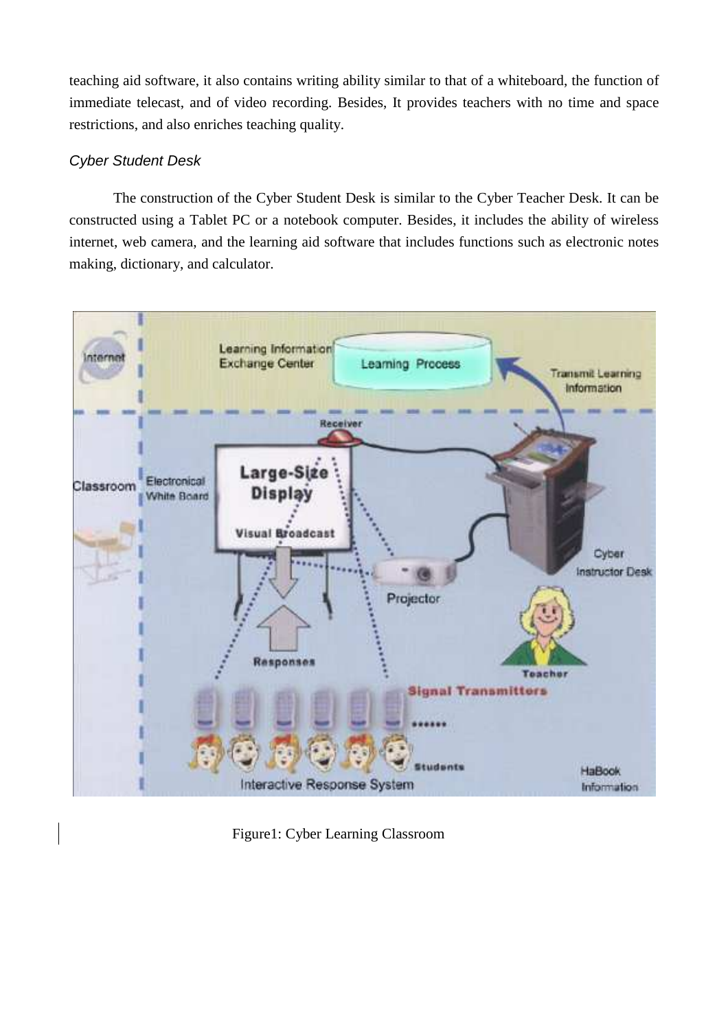teaching aid software, it also contains writing ability similar to that of a whiteboard, the function of immediate telecast, and of video recording. Besides, It provides teachers with no time and space restrictions, and also enriches teaching quality.

### Cyber Student Desk

The construction of the Cyber Student Desk is similar to the Cyber Teacher Desk. It can be constructed using a Tablet PC or a notebook computer. Besides, it includes the ability of wireless internet, web camera, and the learning aid software that includes functions such as electronic notes making, dictionary, and calculator.



Figure1: Cyber Learning Classroom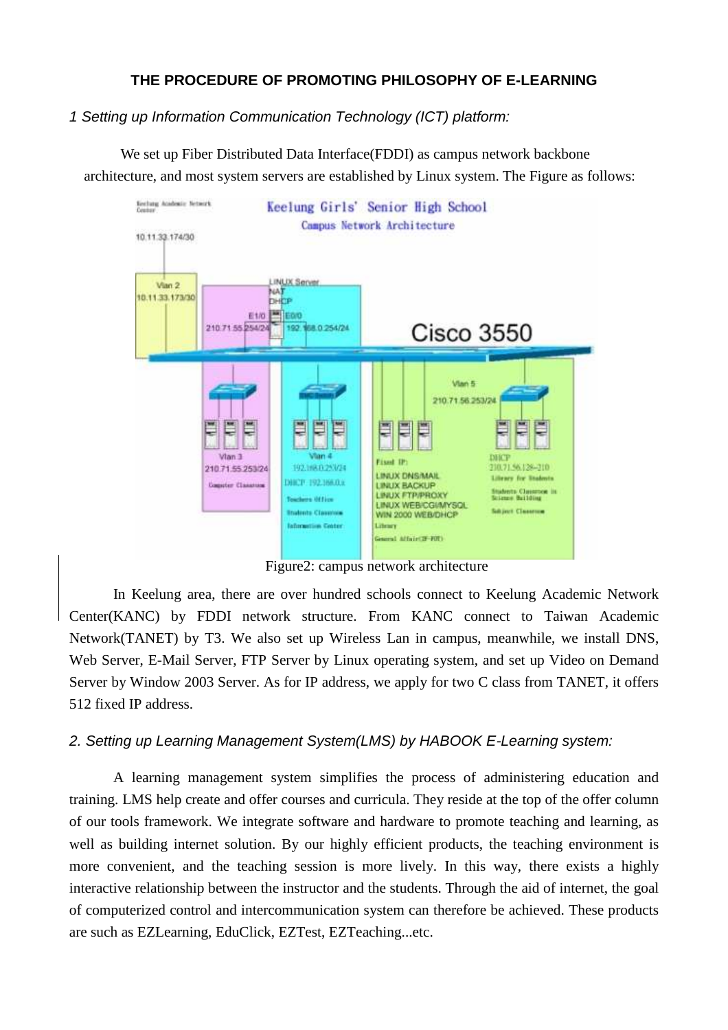## **THE PROCEDURE OF PROMOTING PHILOSOPHY OF E-LEARNING**

### 1 Setting up Information Communication Technology (ICT) platform:

 We set up Fiber Distributed Data Interface(FDDI) as campus network backbone architecture, and most system servers are established by Linux system. The Figure as follows:



Figure2: campus network architecture

In Keelung area, there are over hundred schools connect to Keelung Academic Network Center(KANC) by FDDI network structure. From KANC connect to Taiwan Academic Network(TANET) by T3. We also set up Wireless Lan in campus, meanwhile, we install DNS, Web Server, E-Mail Server, FTP Server by Linux operating system, and set up Video on Demand Server by Window 2003 Server. As for IP address, we apply for two C class from TANET, it offers 512 fixed IP address.

### 2. Setting up Learning Management System(LMS) by HABOOK E-Learning system:

A learning management system simplifies the process of administering education and training. LMS help create and offer courses and curricula. They reside at the top of the offer column of our tools framework. We integrate software and hardware to promote teaching and learning, as well as building internet solution. By our highly efficient products, the teaching environment is more convenient, and the teaching session is more lively. In this way, there exists a highly interactive relationship between the instructor and the students. Through the aid of internet, the goal of computerized control and intercommunication system can therefore be achieved. These products are such as EZLearning, EduClick, EZTest, EZTeaching...etc.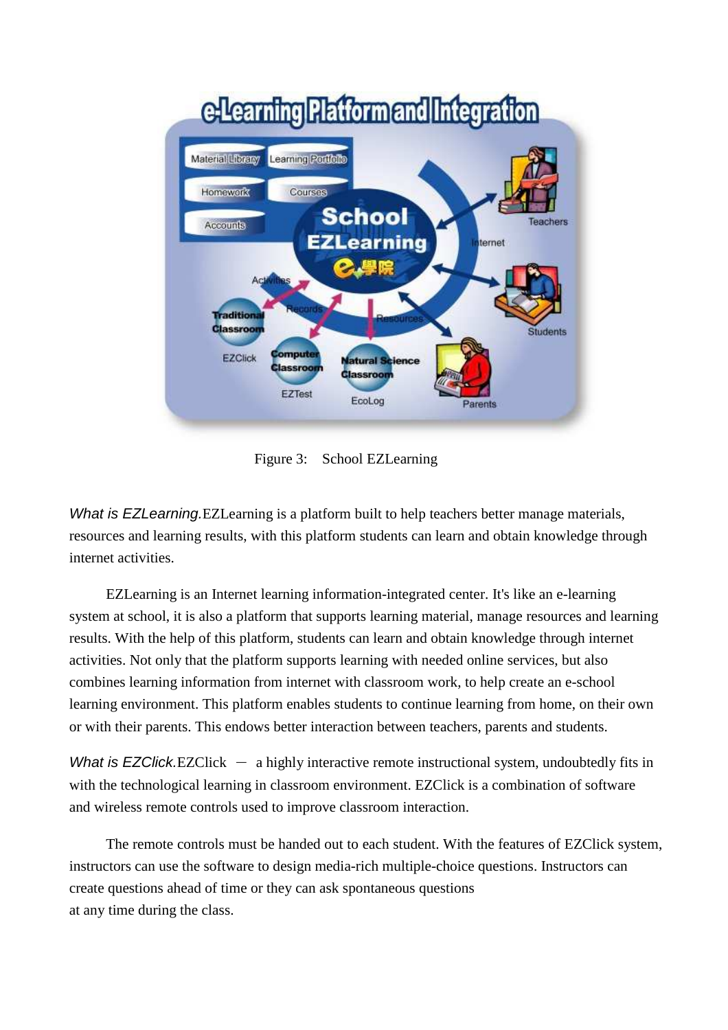

Figure 3: School EZLearning

What is EZLearning. EZLearning is a platform built to help teachers better manage materials, resources and learning results, with this platform students can learn and obtain knowledge through internet activities.

EZLearning is an Internet learning information-integrated center. It's like an e-learning system at school, it is also a platform that supports learning material, manage resources and learning results. With the help of this platform, students can learn and obtain knowledge through internet activities. Not only that the platform supports learning with needed online services, but also combines learning information from internet with classroom work, to help create an e-school learning environment. This platform enables students to continue learning from home, on their own or with their parents. This endows better interaction between teachers, parents and students.

What is EZClick.EZClick  $-$  a highly interactive remote instructional system, undoubtedly fits in with the technological learning in classroom environment. EZClick is a combination of software and wireless remote controls used to improve classroom interaction.

The remote controls must be handed out to each student. With the features of EZClick system, instructors can use the software to design media-rich multiple-choice questions. Instructors can create questions ahead of time or they can ask spontaneous questions at any time during the class.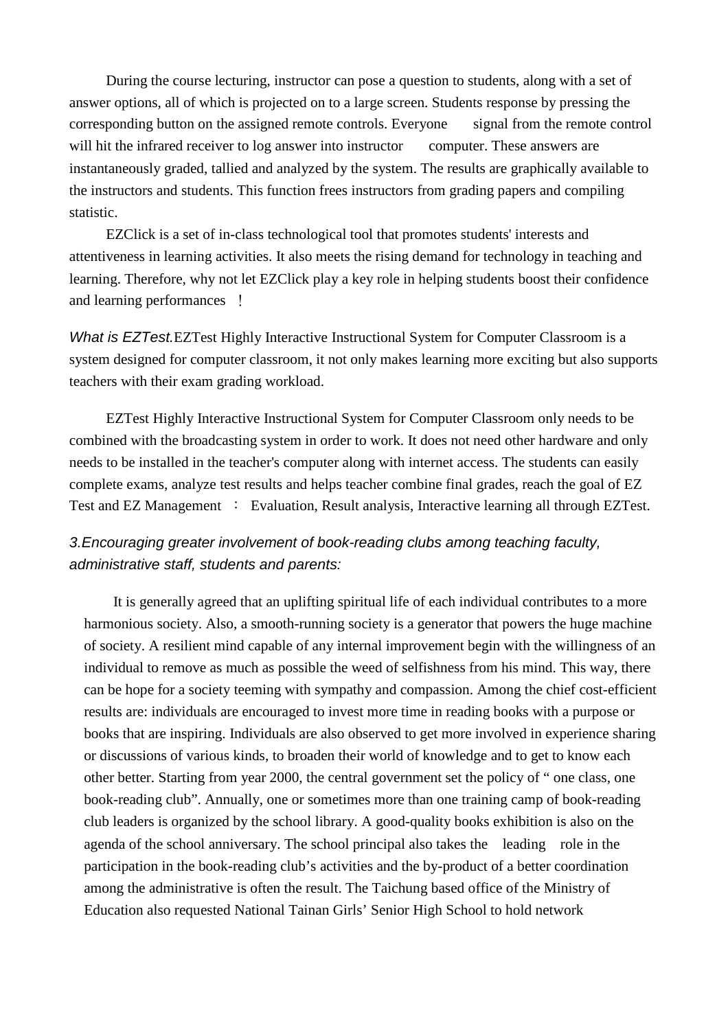During the course lecturing, instructor can pose a question to students, along with a set of answer options, all of which is projected on to a large screen. Students response by pressing the corresponding button on the assigned remote controls. Everyone signal from the remote control will hit the infrared receiver to log answer into instructor computer. These answers are instantaneously graded, tallied and analyzed by the system. The results are graphically available to the instructors and students. This function frees instructors from grading papers and compiling statistic.

EZClick is a set of in-class technological tool that promotes students' interests and attentiveness in learning activities. It also meets the rising demand for technology in teaching and learning. Therefore, why not let EZClick play a key role in helping students boost their confidence and learning performances !

What is EZTest. EZTest Highly Interactive Instructional System for Computer Classroom is a system designed for computer classroom, it not only makes learning more exciting but also supports teachers with their exam grading workload.

EZTest Highly Interactive Instructional System for Computer Classroom only needs to be combined with the broadcasting system in order to work. It does not need other hardware and only needs to be installed in the teacher's computer along with internet access. The students can easily complete exams, analyze test results and helps teacher combine final grades, reach the goal of EZ Test and EZ Management : Evaluation, Result analysis, Interactive learning all through EZTest.

# 3.Encouraging greater involvement of book-reading clubs among teaching faculty, administrative staff, students and parents:

It is generally agreed that an uplifting spiritual life of each individual contributes to a more harmonious society. Also, a smooth-running society is a generator that powers the huge machine of society. A resilient mind capable of any internal improvement begin with the willingness of an individual to remove as much as possible the weed of selfishness from his mind. This way, there can be hope for a society teeming with sympathy and compassion. Among the chief cost-efficient results are: individuals are encouraged to invest more time in reading books with a purpose or books that are inspiring. Individuals are also observed to get more involved in experience sharing or discussions of various kinds, to broaden their world of knowledge and to get to know each other better. Starting from year 2000, the central government set the policy of " one class, one book-reading club". Annually, one or sometimes more than one training camp of book-reading club leaders is organized by the school library. A good-quality books exhibition is also on the agenda of the school anniversary. The school principal also takes the leading role in the participation in the book-reading club's activities and the by-product of a better coordination among the administrative is often the result. The Taichung based office of the Ministry of Education also requested National Tainan Girls' Senior High School to hold network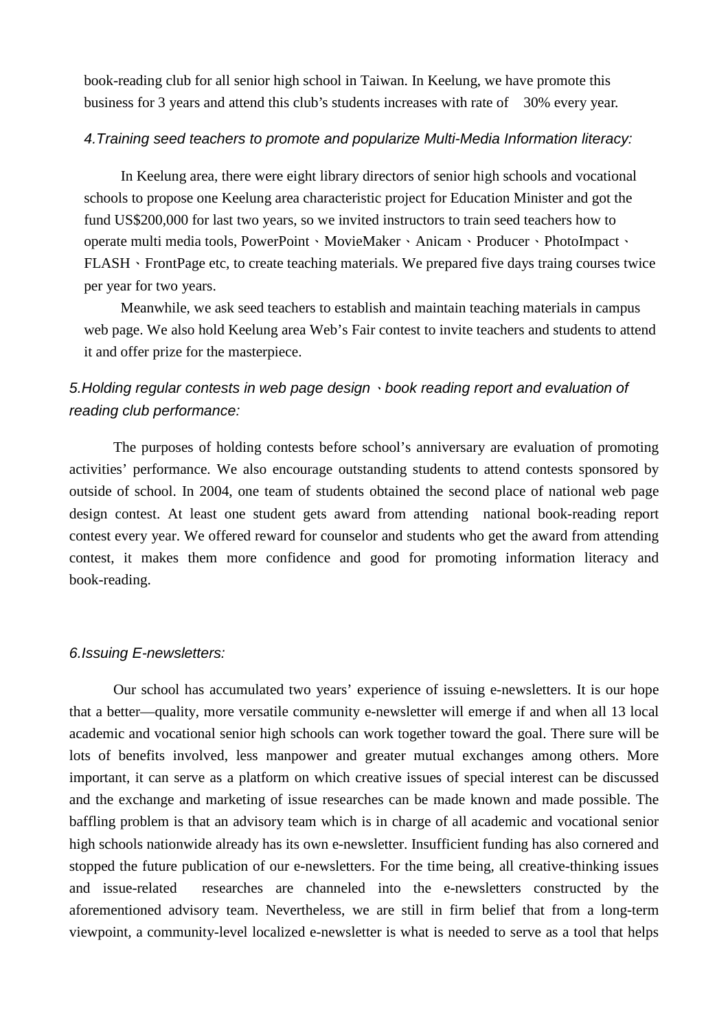book-reading club for all senior high school in Taiwan. In Keelung, we have promote this business for 3 years and attend this club's students increases with rate of 30% every year.

### 4.Training seed teachers to promote and popularize Multi-Media Information literacy:

In Keelung area, there were eight library directors of senior high schools and vocational schools to propose one Keelung area characteristic project for Education Minister and got the fund US\$200,000 for last two years, so we invited instructors to train seed teachers how to operate multi media tools, PowerPoint、MovieMaker、Anicam、Producer、PhotoImpact、 FLASH • FrontPage etc, to create teaching materials. We prepared five days traing courses twice per year for two years.

 Meanwhile, we ask seed teachers to establish and maintain teaching materials in campus web page. We also hold Keelung area Web's Fair contest to invite teachers and students to attend it and offer prize for the masterpiece.

# 5. Holding regular contests in web page design  $\cdot$  book reading report and evaluation of reading club performance:

The purposes of holding contests before school's anniversary are evaluation of promoting activities' performance. We also encourage outstanding students to attend contests sponsored by outside of school. In 2004, one team of students obtained the second place of national web page design contest. At least one student gets award from attending national book-reading report contest every year. We offered reward for counselor and students who get the award from attending contest, it makes them more confidence and good for promoting information literacy and book-reading.

#### 6.Issuing E-newsletters:

Our school has accumulated two years' experience of issuing e-newsletters. It is our hope that a better—quality, more versatile community e-newsletter will emerge if and when all 13 local academic and vocational senior high schools can work together toward the goal. There sure will be lots of benefits involved, less manpower and greater mutual exchanges among others. More important, it can serve as a platform on which creative issues of special interest can be discussed and the exchange and marketing of issue researches can be made known and made possible. The baffling problem is that an advisory team which is in charge of all academic and vocational senior high schools nationwide already has its own e-newsletter. Insufficient funding has also cornered and stopped the future publication of our e-newsletters. For the time being, all creative-thinking issues and issue-related researches are channeled into the e-newsletters constructed by the aforementioned advisory team. Nevertheless, we are still in firm belief that from a long-term viewpoint, a community-level localized e-newsletter is what is needed to serve as a tool that helps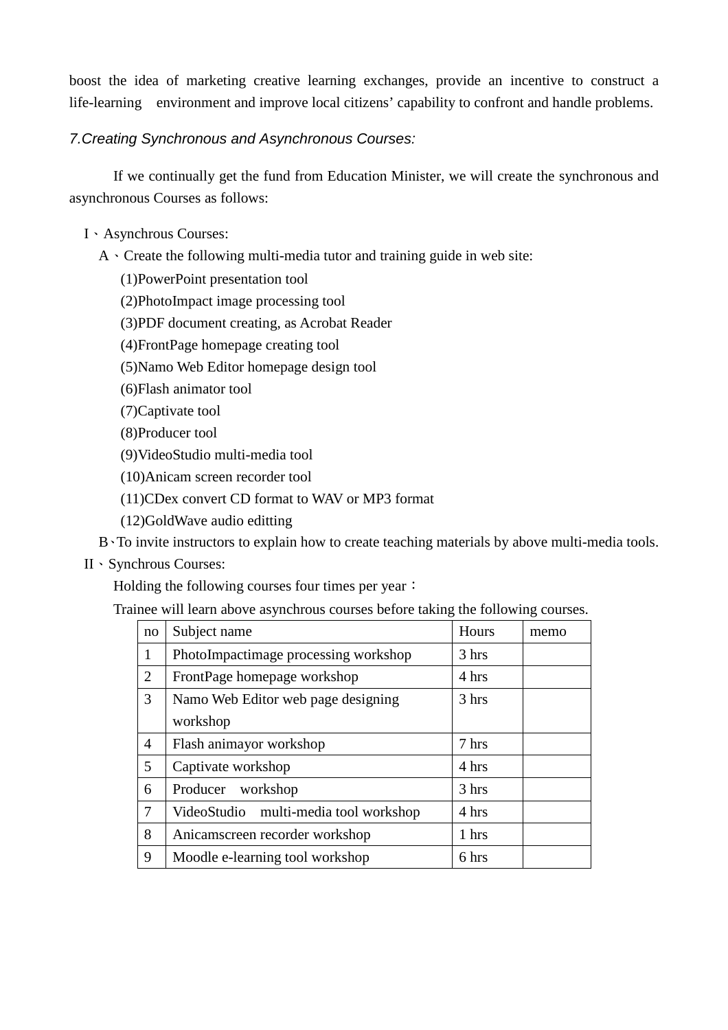boost the idea of marketing creative learning exchanges, provide an incentive to construct a life-learning environment and improve local citizens' capability to confront and handle problems.

### 7.Creating Synchronous and Asynchronous Courses:

If we continually get the fund from Education Minister, we will create the synchronous and asynchronous Courses as follows:

- I、Asynchrous Courses:
	- $A \cdot$  Create the following multi-media tutor and training guide in web site:
		- (1)PowerPoint presentation tool
		- (2)PhotoImpact image processing tool
		- (3)PDF document creating, as Acrobat Reader
		- (4)FrontPage homepage creating tool
		- (5)Namo Web Editor homepage design tool
		- (6)Flash animator tool
		- (7)Captivate tool
		- (8)Producer tool
		- (9)VideoStudio multi-media tool
		- (10)Anicam screen recorder tool
		- (11)CDex convert CD format to WAV or MP3 format
		- (12)GoldWave audio editting
	- B、To invite instructors to explain how to create teaching materials by above multi-media tools.
- II、Synchrous Courses:

Holding the following courses four times per year:

Trainee will learn above asynchrous courses before taking the following courses.

| no             | Subject name                          | Hours | memo |
|----------------|---------------------------------------|-------|------|
| $\mathbf{1}$   | PhotoImpactimage processing workshop  | 3 hrs |      |
| 2              | FrontPage homepage workshop           | 4 hrs |      |
| 3              | Namo Web Editor web page designing    | 3 hrs |      |
|                | workshop                              |       |      |
| 4              | Flash animayor workshop               | 7 hrs |      |
| 5 <sup>5</sup> | Captivate workshop                    | 4 hrs |      |
| 6              | workshop<br>Producer                  | 3 hrs |      |
| $\tau$         | VideoStudio multi-media tool workshop | 4 hrs |      |
| 8              | Anicamscreen recorder workshop        | 1 hrs |      |
| 9              | Moodle e-learning tool workshop       | 6 hrs |      |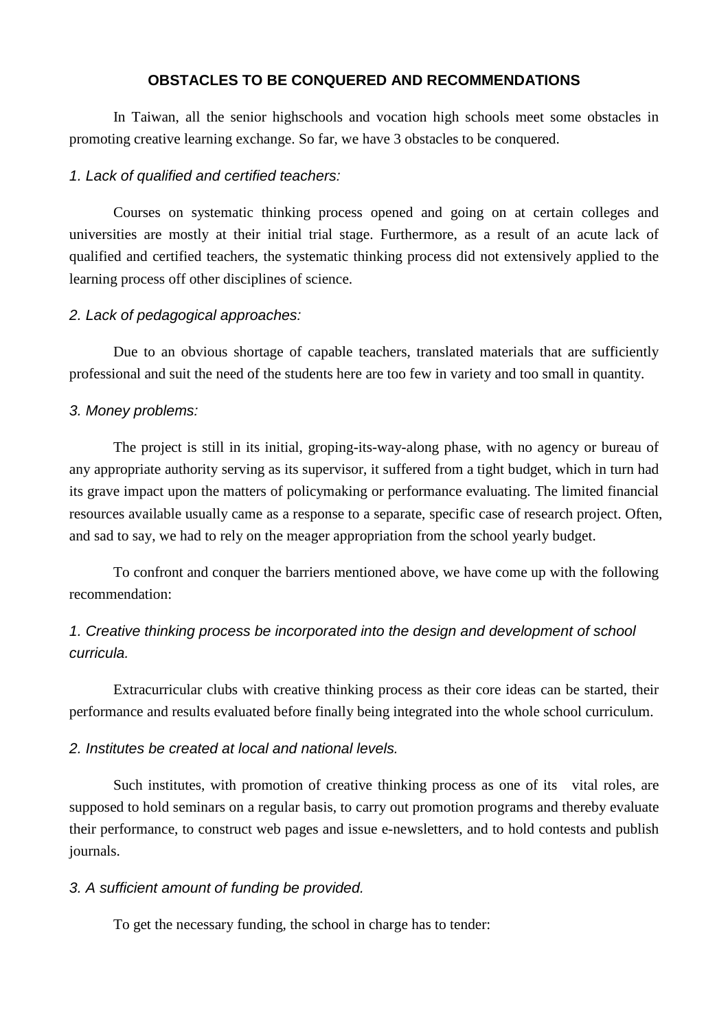### **OBSTACLES TO BE CONQUERED AND RECOMMENDATIONS**

In Taiwan, all the senior highschools and vocation high schools meet some obstacles in promoting creative learning exchange. So far, we have 3 obstacles to be conquered.

### 1. Lack of qualified and certified teachers:

Courses on systematic thinking process opened and going on at certain colleges and universities are mostly at their initial trial stage. Furthermore, as a result of an acute lack of qualified and certified teachers, the systematic thinking process did not extensively applied to the learning process off other disciplines of science.

### 2. Lack of pedagogical approaches:

Due to an obvious shortage of capable teachers, translated materials that are sufficiently professional and suit the need of the students here are too few in variety and too small in quantity.

### 3. Money problems:

The project is still in its initial, groping-its-way-along phase, with no agency or bureau of any appropriate authority serving as its supervisor, it suffered from a tight budget, which in turn had its grave impact upon the matters of policymaking or performance evaluating. The limited financial resources available usually came as a response to a separate, specific case of research project. Often, and sad to say, we had to rely on the meager appropriation from the school yearly budget.

To confront and conquer the barriers mentioned above, we have come up with the following recommendation:

# 1. Creative thinking process be incorporated into the design and development of school curricula.

Extracurricular clubs with creative thinking process as their core ideas can be started, their performance and results evaluated before finally being integrated into the whole school curriculum.

### 2. Institutes be created at local and national levels.

Such institutes, with promotion of creative thinking process as one of its vital roles, are supposed to hold seminars on a regular basis, to carry out promotion programs and thereby evaluate their performance, to construct web pages and issue e-newsletters, and to hold contests and publish journals.

### 3. A sufficient amount of funding be provided.

To get the necessary funding, the school in charge has to tender: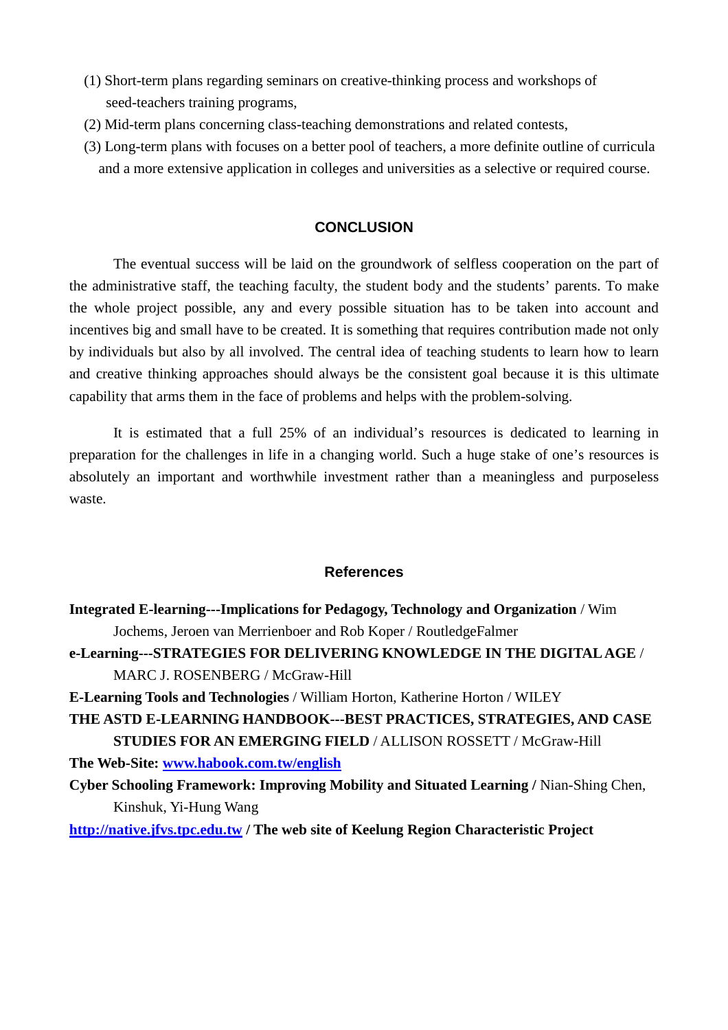- (1) Short-term plans regarding seminars on creative-thinking process and workshops of seed-teachers training programs,
- (2) Mid-term plans concerning class-teaching demonstrations and related contests,
- (3) Long-term plans with focuses on a better pool of teachers, a more definite outline of curricula and a more extensive application in colleges and universities as a selective or required course.

### **CONCLUSION**

The eventual success will be laid on the groundwork of selfless cooperation on the part of the administrative staff, the teaching faculty, the student body and the students' parents. To make the whole project possible, any and every possible situation has to be taken into account and incentives big and small have to be created. It is something that requires contribution made not only by individuals but also by all involved. The central idea of teaching students to learn how to learn and creative thinking approaches should always be the consistent goal because it is this ultimate capability that arms them in the face of problems and helps with the problem-solving.

It is estimated that a full 25% of an individual's resources is dedicated to learning in preparation for the challenges in life in a changing world. Such a huge stake of one's resources is absolutely an important and worthwhile investment rather than a meaningless and purposeless waste.

### **References**

**Integrated E-learning---Implications for Pedagogy, Technology and Organization** / Wim Jochems, Jeroen van Merrienboer and Rob Koper / RoutledgeFalmer **e-Learning---STRATEGIES FOR DELIVERING KNOWLEDGE IN THE DIGITAL AGE** / MARC J. ROSENBERG / McGraw-Hill **E-Learning Tools and Technologies** / William Horton, Katherine Horton / WILEY **THE ASTD E-LEARNING HANDBOOK---BEST PRACTICES, STRATEGIES, AND CASE STUDIES FOR AN EMERGING FIELD** / ALLISON ROSSETT / McGraw-Hill **The Web-Site: www.habook.com.tw/english Cyber Schooling Framework: Improving Mobility and Situated Learning /** Nian-Shing Chen, Kinshuk, Yi-Hung Wang **http://native.jfvs.tpc.edu.tw / The web site of Keelung Region Characteristic Project**